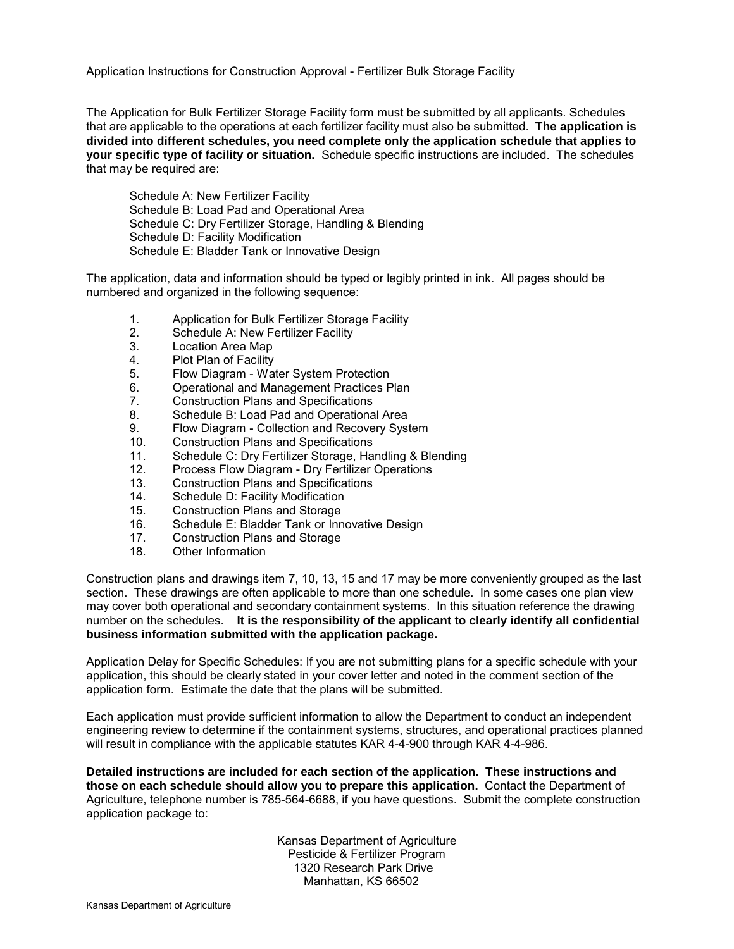Application Instructions for Construction Approval - Fertilizer Bulk Storage Facility

The Application for Bulk Fertilizer Storage Facility form must be submitted by all applicants. Schedules that are applicable to the operations at each fertilizer facility must also be submitted. **The application is divided into different schedules, you need complete only the application schedule that applies to your specific type of facility or situation.** Schedule specific instructions are included. The schedules that may be required are:

Schedule A: New Fertilizer Facility Schedule B: Load Pad and Operational Area Schedule C: Dry Fertilizer Storage, Handling & Blending Schedule D: Facility Modification Schedule E: Bladder Tank or Innovative Design

The application, data and information should be typed or legibly printed in ink. All pages should be numbered and organized in the following sequence:

- 1. Application for Bulk Fertilizer Storage Facility<br>2. Schedule A: New Fertilizer Facility
- 2. Schedule A: New Fertilizer Facility<br>3. Location Area Map
- Location Area Map
- 4. Plot Plan of Facility
- 5. Flow Diagram Water System Protection
- 6. Operational and Management Practices Plan<br>7. Construction Plans and Specifications
- 7. Construction Plans and Specifications<br>8. Schedule B: Load Pad and Operationa
- Schedule B: Load Pad and Operational Area
- 9. Flow Diagram Collection and Recovery System
- 10. Construction Plans and Specifications
- 11. Schedule C: Dry Fertilizer Storage, Handling & Blending<br>12. Process Flow Diagram Dry Fertilizer Operations
- Process Flow Diagram Dry Fertilizer Operations
- 13. Construction Plans and Specifications
- 14. Schedule D: Facility Modification
- 15. Construction Plans and Storage
- 16. Schedule E: Bladder Tank or Innovative Design<br>17. Construction Plans and Storage
- 17. Construction Plans and Storage
- 18. Other Information

Construction plans and drawings item 7, 10, 13, 15 and 17 may be more conveniently grouped as the last section. These drawings are often applicable to more than one schedule. In some cases one plan view may cover both operational and secondary containment systems. In this situation reference the drawing number on the schedules. **It is the responsibility of the applicant to clearly identify all confidential business information submitted with the application package.**

Application Delay for Specific Schedules: If you are not submitting plans for a specific schedule with your application, this should be clearly stated in your cover letter and noted in the comment section of the application form. Estimate the date that the plans will be submitted.

Each application must provide sufficient information to allow the Department to conduct an independent engineering review to determine if the containment systems, structures, and operational practices planned will result in compliance with the applicable statutes KAR 4-4-900 through KAR 4-4-986.

**Detailed instructions are included for each section of the application. These instructions and those on each schedule should allow you to prepare this application.** Contact the Department of Agriculture, telephone number is 785-564-6688, if you have questions. Submit the complete construction application package to:

> Kansas Department of Agriculture Pesticide & Fertilizer Program 1320 Research Park Drive Manhattan, KS 66502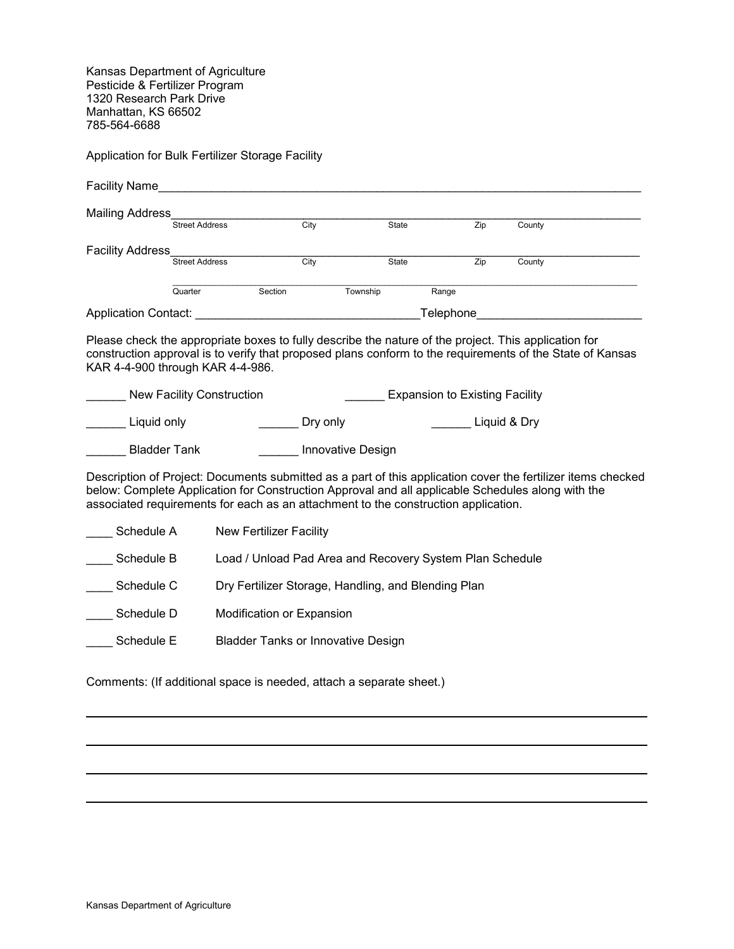Kansas Department of Agriculture Pesticide & Fertilizer Program 1320 Research Park Drive Manhattan, KS 66502 785-564-6688

Application for Bulk Fertilizer Storage Facility

| Facility Name                                                                                                                                                                           |                                  |                                                          |                   |                                       |                  |                                                                                                              |
|-----------------------------------------------------------------------------------------------------------------------------------------------------------------------------------------|----------------------------------|----------------------------------------------------------|-------------------|---------------------------------------|------------------|--------------------------------------------------------------------------------------------------------------|
| Mailing Address_                                                                                                                                                                        |                                  |                                                          |                   |                                       |                  |                                                                                                              |
|                                                                                                                                                                                         | Street Address                   | City                                                     | State             |                                       | $\overline{Zip}$ | County                                                                                                       |
| Facility Address                                                                                                                                                                        |                                  |                                                          |                   |                                       |                  |                                                                                                              |
|                                                                                                                                                                                         | Street Address                   | City                                                     | State             |                                       | Zip              | County                                                                                                       |
|                                                                                                                                                                                         | Quarter                          | Section                                                  | Township          | Range                                 |                  |                                                                                                              |
|                                                                                                                                                                                         |                                  |                                                          |                   |                                       |                  | Telephone <b>Example 2018</b>                                                                                |
| Please check the appropriate boxes to fully describe the nature of the project. This application for<br>KAR 4-4-900 through KAR 4-4-986.                                                |                                  |                                                          |                   |                                       |                  | construction approval is to verify that proposed plans conform to the requirements of the State of Kansas    |
|                                                                                                                                                                                         | <b>New Facility Construction</b> |                                                          |                   | <b>Expansion to Existing Facility</b> |                  |                                                                                                              |
| Liquid only                                                                                                                                                                             |                                  | Dry only                                                 |                   | Liquid & Dry                          |                  |                                                                                                              |
| <b>Bladder Tank</b>                                                                                                                                                                     |                                  |                                                          | Innovative Design |                                       |                  |                                                                                                              |
| below: Complete Application for Construction Approval and all applicable Schedules along with the<br>associated requirements for each as an attachment to the construction application. |                                  |                                                          |                   |                                       |                  | Description of Project: Documents submitted as a part of this application cover the fertilizer items checked |
| Schedule A                                                                                                                                                                              |                                  | <b>New Fertilizer Facility</b>                           |                   |                                       |                  |                                                                                                              |
| Schedule B                                                                                                                                                                              |                                  | Load / Unload Pad Area and Recovery System Plan Schedule |                   |                                       |                  |                                                                                                              |
| Schedule C                                                                                                                                                                              |                                  | Dry Fertilizer Storage, Handling, and Blending Plan      |                   |                                       |                  |                                                                                                              |
| Schedule D                                                                                                                                                                              |                                  | Modification or Expansion                                |                   |                                       |                  |                                                                                                              |
| Schedule E                                                                                                                                                                              |                                  | <b>Bladder Tanks or Innovative Design</b>                |                   |                                       |                  |                                                                                                              |
| Comments: (If additional space is needed, attach a separate sheet.)                                                                                                                     |                                  |                                                          |                   |                                       |                  |                                                                                                              |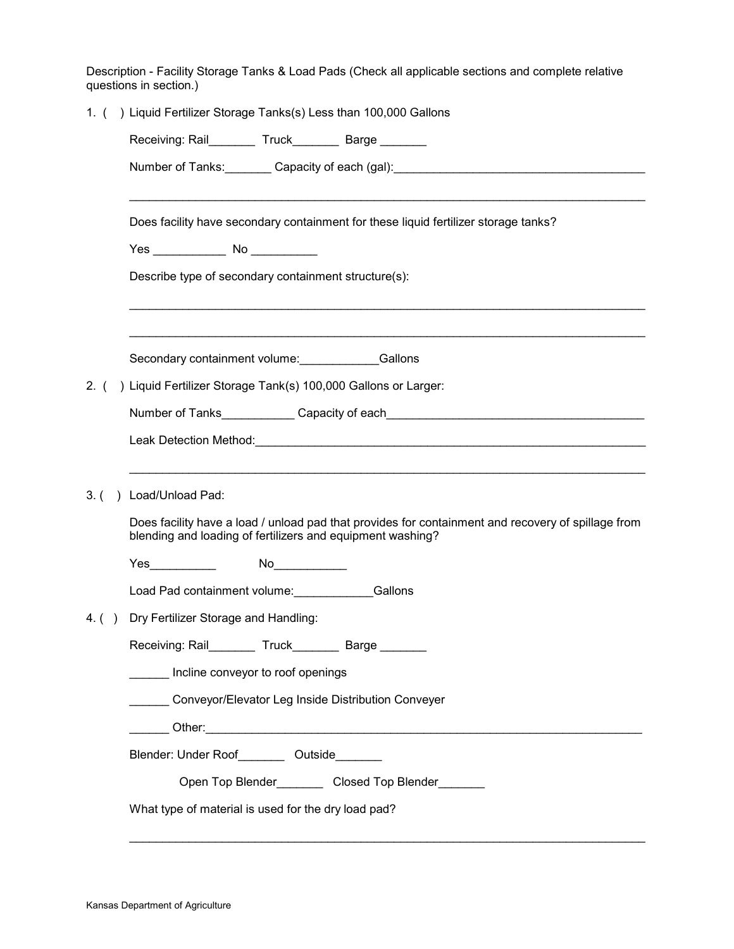Description - Facility Storage Tanks & Load Pads (Check all applicable sections and complete relative questions in section.)

|      | 1. () Liquid Fertilizer Storage Tanks(s) Less than 100,000 Gallons                                                                                               |
|------|------------------------------------------------------------------------------------------------------------------------------------------------------------------|
|      | Receiving: Rail___________ Truck__________ Barge ________                                                                                                        |
|      |                                                                                                                                                                  |
|      |                                                                                                                                                                  |
|      | Does facility have secondary containment for these liquid fertilizer storage tanks?                                                                              |
|      |                                                                                                                                                                  |
|      | Describe type of secondary containment structure(s):                                                                                                             |
|      |                                                                                                                                                                  |
|      | Secondary containment volume: Gallons                                                                                                                            |
|      | 2. () Liquid Fertilizer Storage Tank(s) 100,000 Gallons or Larger:                                                                                               |
|      |                                                                                                                                                                  |
|      |                                                                                                                                                                  |
|      |                                                                                                                                                                  |
| 3. ( | ) Load/Unload Pad:                                                                                                                                               |
|      | Does facility have a load / unload pad that provides for containment and recovery of spillage from<br>blending and loading of fertilizers and equipment washing? |
|      | $Yes$ and $Xes$ and $Xes$ and $Xes$                                                                                                                              |
|      | Load Pad containment volume:___________Gallons                                                                                                                   |
|      | 4. () Dry Fertilizer Storage and Handling:                                                                                                                       |
|      | Receiving: Rail Truck Barge                                                                                                                                      |
|      | Incline conveyor to roof openings                                                                                                                                |
|      | Conveyor/Elevator Leg Inside Distribution Conveyer                                                                                                               |
|      |                                                                                                                                                                  |
|      | Blender: Under Roof__________ Outside________                                                                                                                    |
|      | Open Top Blender___________ Closed Top Blender________                                                                                                           |
|      | What type of material is used for the dry load pad?                                                                                                              |
|      |                                                                                                                                                                  |

\_\_\_\_\_\_\_\_\_\_\_\_\_\_\_\_\_\_\_\_\_\_\_\_\_\_\_\_\_\_\_\_\_\_\_\_\_\_\_\_\_\_\_\_\_\_\_\_\_\_\_\_\_\_\_\_\_\_\_\_\_\_\_\_\_\_\_\_\_\_\_\_\_\_\_\_\_\_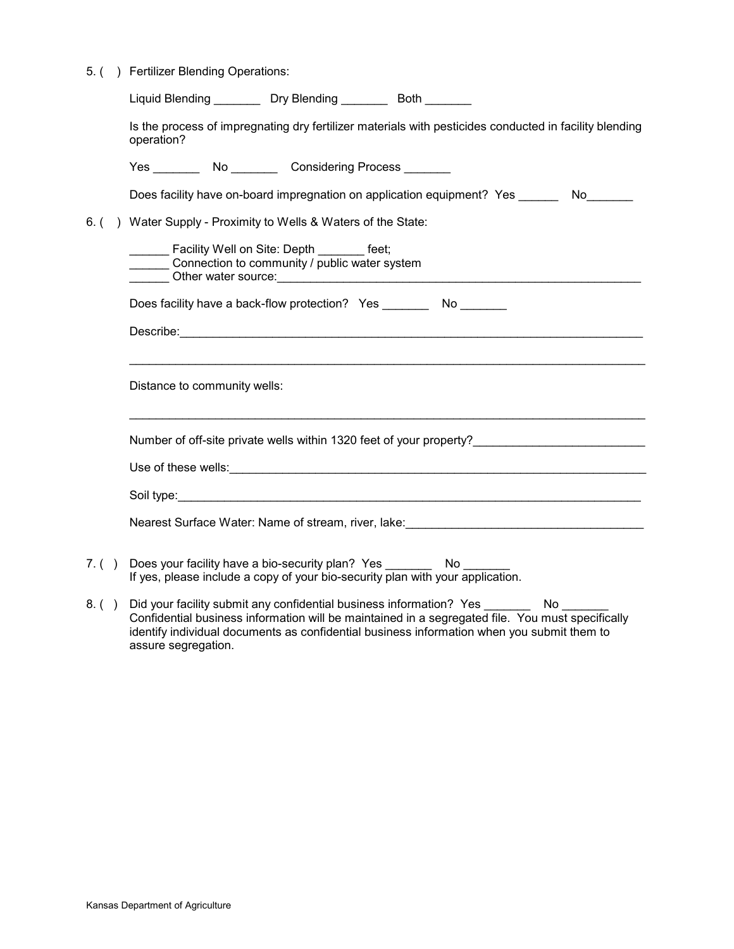5. ( ) Fertilizer Blending Operations:

|          |               | Liquid Blending __________ Dry Blending _________ Both ________                                                                                                                                                                                                                                                                                                                                 |
|----------|---------------|-------------------------------------------------------------------------------------------------------------------------------------------------------------------------------------------------------------------------------------------------------------------------------------------------------------------------------------------------------------------------------------------------|
|          |               | Is the process of impregnating dry fertilizer materials with pesticides conducted in facility blending<br>operation?                                                                                                                                                                                                                                                                            |
|          |               | Yes ___________ No ___________ Considering Process ________                                                                                                                                                                                                                                                                                                                                     |
|          |               | Does facility have on-board impregnation on application equipment? Yes ______<br>No                                                                                                                                                                                                                                                                                                             |
| 6. (     | $\mathcal{L}$ | Water Supply - Proximity to Wells & Waters of the State:                                                                                                                                                                                                                                                                                                                                        |
|          |               | Facility Well on Site: Depth _______ feet;<br>Connection to community / public water system                                                                                                                                                                                                                                                                                                     |
|          |               | Does facility have a back-flow protection? Yes __________ No ________                                                                                                                                                                                                                                                                                                                           |
|          |               |                                                                                                                                                                                                                                                                                                                                                                                                 |
|          |               |                                                                                                                                                                                                                                                                                                                                                                                                 |
|          |               | Distance to community wells:                                                                                                                                                                                                                                                                                                                                                                    |
|          |               | Number of off-site private wells within 1320 feet of your property?                                                                                                                                                                                                                                                                                                                             |
|          |               |                                                                                                                                                                                                                                                                                                                                                                                                 |
|          |               |                                                                                                                                                                                                                                                                                                                                                                                                 |
|          |               | Nearest Surface Water: Name of stream, river, lake: _____________________________                                                                                                                                                                                                                                                                                                               |
| $7.(\ )$ |               | Does your facility have a bio-security plan? Yes ________________________________<br>If yes, please include a copy of your bio-security plan with your application.                                                                                                                                                                                                                             |
| $8.(\ )$ |               | Did your facility submit any confidential business information? Yes ______<br>No control to the set of the set of the set of the set of the set of the set of the set of the set of the set o<br>Confidential business information will be maintained in a segregated file. You must specifically<br>identify individual documents as confidential business information when you submit them to |

Kansas Department of Agriculture

assure segregation.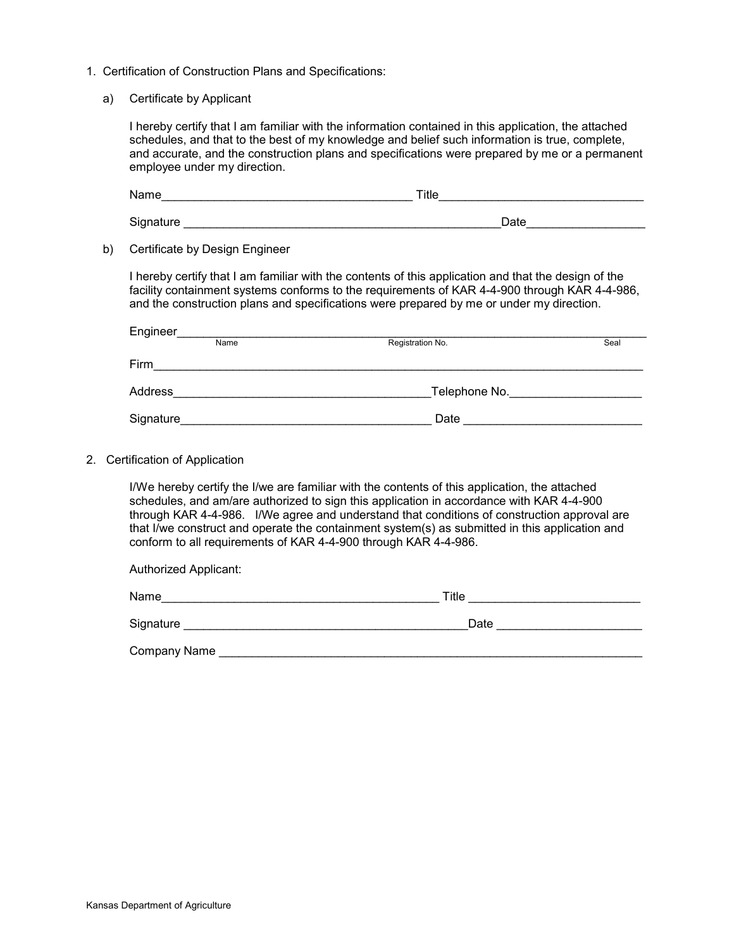- 1. Certification of Construction Plans and Specifications:
	- a) Certificate by Applicant

I hereby certify that I am familiar with the information contained in this application, the attached schedules, and that to the best of my knowledge and belief such information is true, complete, and accurate, and the construction plans and specifications were prepared by me or a permanent employee under my direction.

| Name      | Title |  |
|-----------|-------|--|
| Signature | Date  |  |

b) Certificate by Design Engineer

I hereby certify that I am familiar with the contents of this application and that the design of the facility containment systems conforms to the requirements of KAR 4-4-900 through KAR 4-4-986, and the construction plans and specifications were prepared by me or under my direction.

| Engineer   |      |                  |      |
|------------|------|------------------|------|
|            | Name | Registration No. | Seal |
| Firm       |      |                  |      |
| Address    |      | Telephone No.    |      |
| Signature_ |      | Date             |      |

2. Certification of Application

I/We hereby certify the I/we are familiar with the contents of this application, the attached schedules, and am/are authorized to sign this application in accordance with KAR 4-4-900 through KAR 4-4-986. I/We agree and understand that conditions of construction approval are that I/we construct and operate the containment system(s) as submitted in this application and conform to all requirements of KAR 4-4-900 through KAR 4-4-986.

| Authorized Applicant: |       |
|-----------------------|-------|
| Name                  | Title |
| Signature             | Date  |
| Company Name          |       |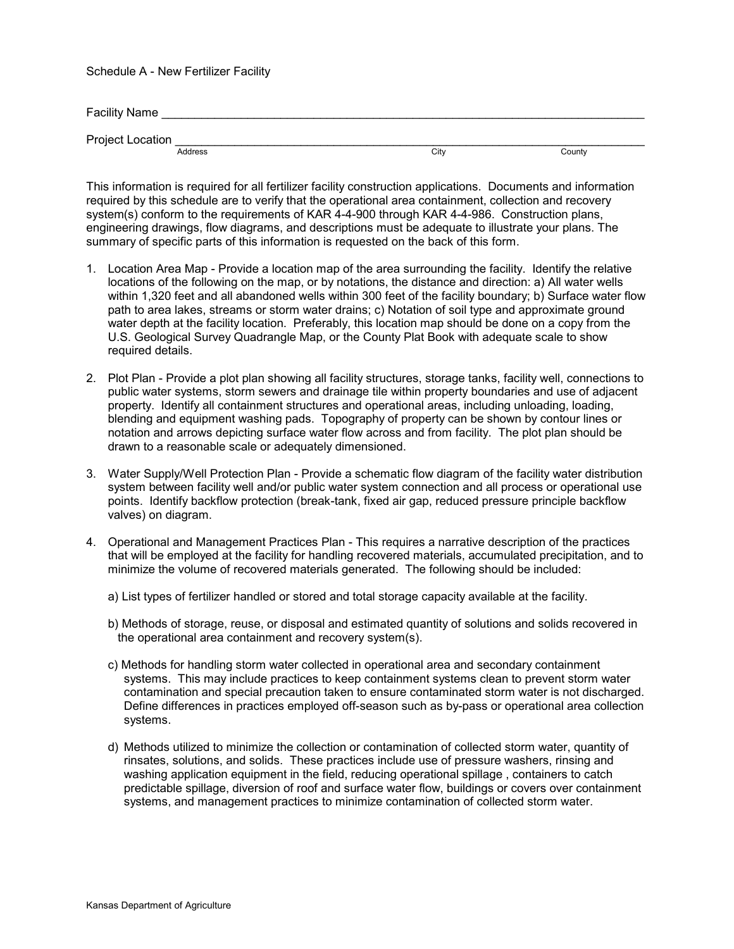Schedule A - New Fertilizer Facility

Facility Name Project Location <br>
Address City County Address **City** County County County County County County County County County County

This information is required for all fertilizer facility construction applications. Documents and information required by this schedule are to verify that the operational area containment, collection and recovery system(s) conform to the requirements of KAR 4-4-900 through KAR 4-4-986. Construction plans, engineering drawings, flow diagrams, and descriptions must be adequate to illustrate your plans. The summary of specific parts of this information is requested on the back of this form.

- 1. Location Area Map Provide a location map of the area surrounding the facility. Identify the relative locations of the following on the map, or by notations, the distance and direction: a) All water wells within 1,320 feet and all abandoned wells within 300 feet of the facility boundary; b) Surface water flow path to area lakes, streams or storm water drains; c) Notation of soil type and approximate ground water depth at the facility location. Preferably, this location map should be done on a copy from the U.S. Geological Survey Quadrangle Map, or the County Plat Book with adequate scale to show required details.
- 2. Plot Plan Provide a plot plan showing all facility structures, storage tanks, facility well, connections to public water systems, storm sewers and drainage tile within property boundaries and use of adjacent property. Identify all containment structures and operational areas, including unloading, loading, blending and equipment washing pads. Topography of property can be shown by contour lines or notation and arrows depicting surface water flow across and from facility. The plot plan should be drawn to a reasonable scale or adequately dimensioned.
- 3. Water Supply/Well Protection Plan Provide a schematic flow diagram of the facility water distribution system between facility well and/or public water system connection and all process or operational use points. Identify backflow protection (break-tank, fixed air gap, reduced pressure principle backflow valves) on diagram.
- 4. Operational and Management Practices Plan This requires a narrative description of the practices that will be employed at the facility for handling recovered materials, accumulated precipitation, and to minimize the volume of recovered materials generated. The following should be included:
	- a) List types of fertilizer handled or stored and total storage capacity available at the facility.
	- b) Methods of storage, reuse, or disposal and estimated quantity of solutions and solids recovered in the operational area containment and recovery system(s).
	- c) Methods for handling storm water collected in operational area and secondary containment systems. This may include practices to keep containment systems clean to prevent storm water contamination and special precaution taken to ensure contaminated storm water is not discharged. Define differences in practices employed off-season such as by-pass or operational area collection systems.
	- d) Methods utilized to minimize the collection or contamination of collected storm water, quantity of rinsates, solutions, and solids. These practices include use of pressure washers, rinsing and washing application equipment in the field, reducing operational spillage , containers to catch predictable spillage, diversion of roof and surface water flow, buildings or covers over containment systems, and management practices to minimize contamination of collected storm water.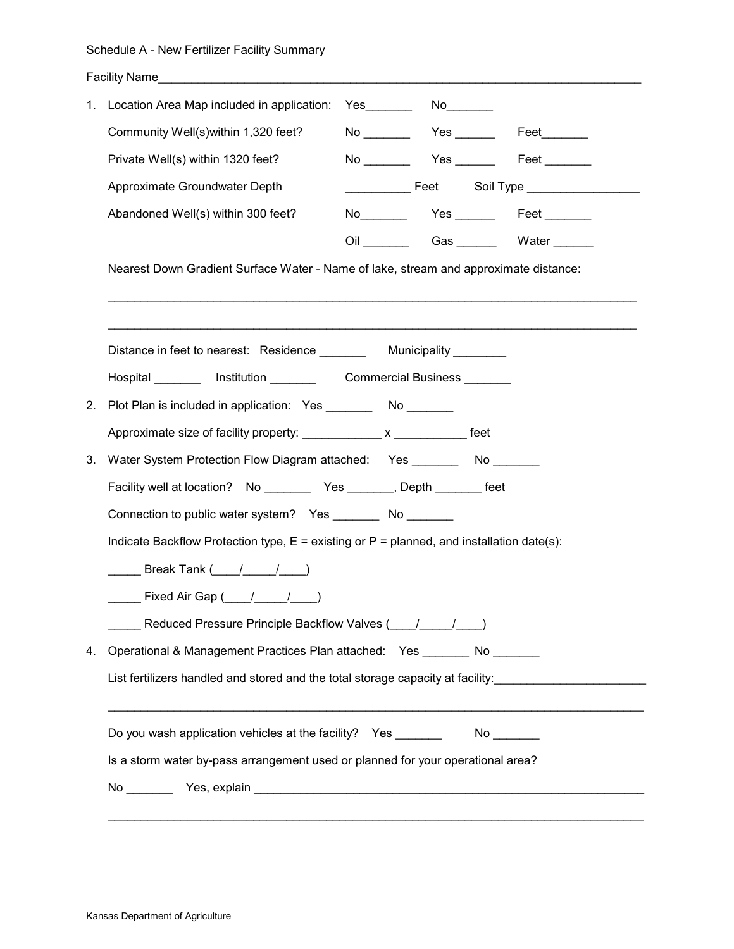Schedule A - New Fertilizer Facility Summary

|    | Facility Name                                                                                 |                                              |               |
|----|-----------------------------------------------------------------------------------------------|----------------------------------------------|---------------|
| 1. | Location Area Map included in application:                                                    | $Yes$ No $No$                                |               |
|    | Community Well(s) within 1,320 feet?                                                          | No ___________  Yes _________  Feet_________ |               |
|    | Private Well(s) within 1320 feet?                                                             |                                              |               |
|    | Approximate Groundwater Depth                                                                 |                                              |               |
|    | Abandoned Well(s) within 300 feet?                                                            |                                              | No Yes Feet   |
|    |                                                                                               |                                              | Oil Cas Water |
|    | Nearest Down Gradient Surface Water - Name of lake, stream and approximate distance:          |                                              |               |
|    |                                                                                               |                                              |               |
|    |                                                                                               |                                              |               |
|    | Distance in feet to nearest: Residence __________ Municipality _________                      |                                              |               |
|    | Hospital Institution Commercial Business                                                      |                                              |               |
|    | 2. Plot Plan is included in application: Yes __________ No ________                           |                                              |               |
|    | Approximate size of facility property: _______________ x _______________ feet                 |                                              |               |
| 3. | Water System Protection Flow Diagram attached: Yes _________ No _______                       |                                              |               |
|    |                                                                                               |                                              |               |
|    | Connection to public water system? Yes _________ No ________                                  |                                              |               |
|    | Indicate Backflow Protection type, $E =$ existing or $P =$ planned, and installation date(s): |                                              |               |
|    | ______ Break Tank (____/____/____)                                                            |                                              |               |
|    | _____ Fixed Air Gap (____/____/____)                                                          |                                              |               |
|    | Reduced Pressure Principle Backflow Valves (1420)                                             |                                              |               |
| 4. | Operational & Management Practices Plan attached: Yes _______ No _______                      |                                              |               |
|    | List fertilizers handled and stored and the total storage capacity at facility:               |                                              |               |
|    |                                                                                               |                                              |               |
|    | Do you wash application vehicles at the facility? Yes _______                                 |                                              |               |
|    | Is a storm water by-pass arrangement used or planned for your operational area?               |                                              |               |
|    |                                                                                               |                                              |               |
|    |                                                                                               |                                              |               |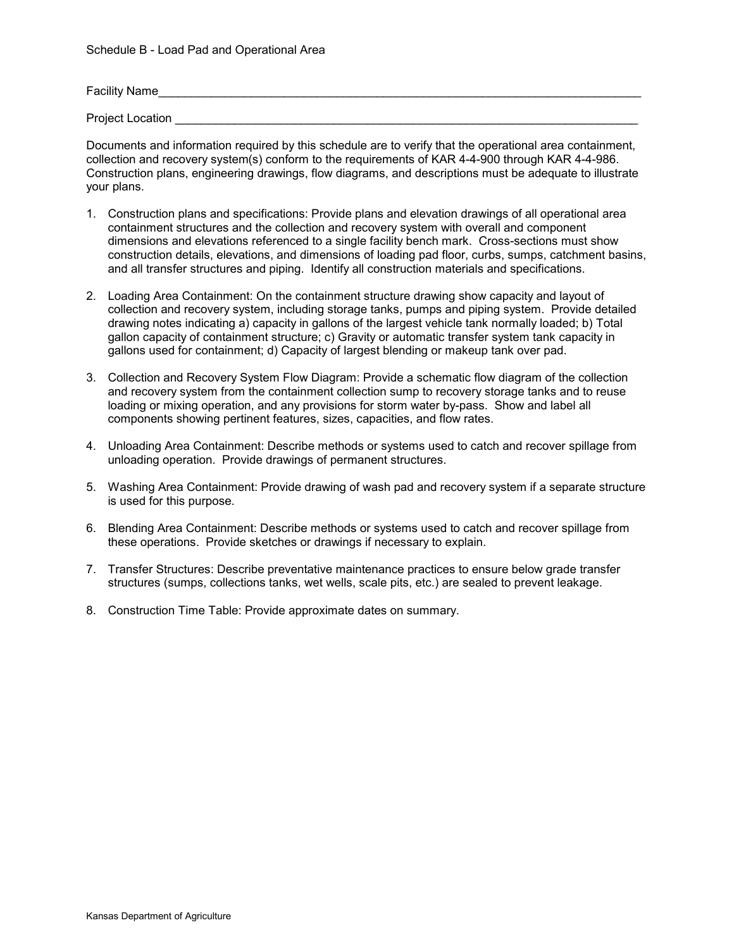Facility Name\_\_\_\_\_\_\_\_\_\_\_\_\_\_\_\_\_\_\_\_\_\_\_\_\_\_\_\_\_\_\_\_\_\_\_\_\_\_\_\_\_\_\_\_\_\_\_\_\_\_\_\_\_\_\_\_\_\_\_\_\_\_\_\_\_\_\_\_\_\_\_\_\_

Project Location **Example 20** 

Documents and information required by this schedule are to verify that the operational area containment, collection and recovery system(s) conform to the requirements of KAR 4-4-900 through KAR 4-4-986. Construction plans, engineering drawings, flow diagrams, and descriptions must be adequate to illustrate your plans.

- 1. Construction plans and specifications: Provide plans and elevation drawings of all operational area containment structures and the collection and recovery system with overall and component dimensions and elevations referenced to a single facility bench mark. Cross-sections must show construction details, elevations, and dimensions of loading pad floor, curbs, sumps, catchment basins, and all transfer structures and piping. Identify all construction materials and specifications.
- 2. Loading Area Containment: On the containment structure drawing show capacity and layout of collection and recovery system, including storage tanks, pumps and piping system. Provide detailed drawing notes indicating a) capacity in gallons of the largest vehicle tank normally loaded; b) Total gallon capacity of containment structure; c) Gravity or automatic transfer system tank capacity in gallons used for containment; d) Capacity of largest blending or makeup tank over pad.
- 3. Collection and Recovery System Flow Diagram: Provide a schematic flow diagram of the collection and recovery system from the containment collection sump to recovery storage tanks and to reuse loading or mixing operation, and any provisions for storm water by-pass. Show and label all components showing pertinent features, sizes, capacities, and flow rates.
- 4. Unloading Area Containment: Describe methods or systems used to catch and recover spillage from unloading operation. Provide drawings of permanent structures.
- 5. Washing Area Containment: Provide drawing of wash pad and recovery system if a separate structure is used for this purpose.
- 6. Blending Area Containment: Describe methods or systems used to catch and recover spillage from these operations. Provide sketches or drawings if necessary to explain.
- 7. Transfer Structures: Describe preventative maintenance practices to ensure below grade transfer structures (sumps, collections tanks, wet wells, scale pits, etc.) are sealed to prevent leakage.
- 8. Construction Time Table: Provide approximate dates on summary.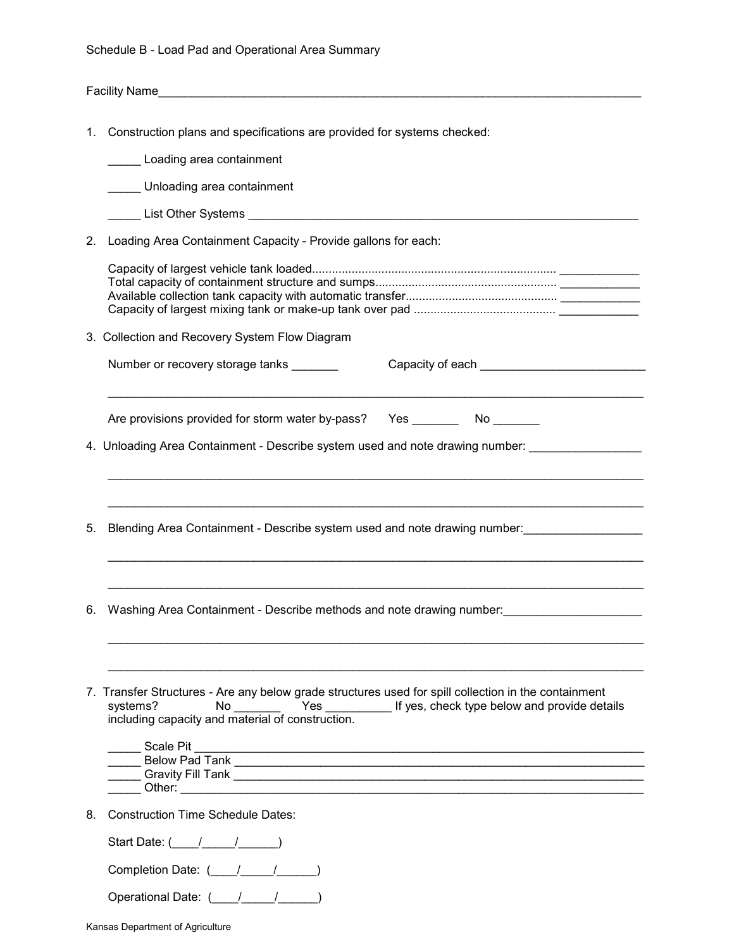Facility Name\_\_\_\_\_\_\_\_\_\_\_\_\_\_\_\_\_\_\_\_\_\_\_\_\_\_\_\_\_\_\_\_\_\_\_\_\_\_\_\_\_\_\_\_\_\_\_\_\_\_\_\_\_\_\_\_\_\_\_\_\_\_\_\_\_\_\_\_\_\_\_\_\_

1. Construction plans and specifications are provided for systems checked:

|    | Loading area containment                                                                                                                                                                                                                                                  |
|----|---------------------------------------------------------------------------------------------------------------------------------------------------------------------------------------------------------------------------------------------------------------------------|
|    | Unloading area containment                                                                                                                                                                                                                                                |
|    | List Other Systems <b>Constant Constant Constant Constant Constant Constant Constant Constant Constant Constant Constant Constant Constant Constant Constant Constant Constant Constant Constant Constant Constant Constant Cons</b>                                      |
| 2. | Loading Area Containment Capacity - Provide gallons for each:                                                                                                                                                                                                             |
|    |                                                                                                                                                                                                                                                                           |
|    | 3. Collection and Recovery System Flow Diagram                                                                                                                                                                                                                            |
|    | Number or recovery storage tanks ________                                                                                                                                                                                                                                 |
|    | Are provisions provided for storm water by-pass? Yes ___________ No ________                                                                                                                                                                                              |
|    | 4. Unloading Area Containment - Describe system used and note drawing number:                                                                                                                                                                                             |
|    |                                                                                                                                                                                                                                                                           |
| 5. | Blending Area Containment - Describe system used and note drawing number:                                                                                                                                                                                                 |
|    |                                                                                                                                                                                                                                                                           |
| 6. | Washing Area Containment - Describe methods and note drawing number: _______________________________                                                                                                                                                                      |
|    |                                                                                                                                                                                                                                                                           |
|    | 7. Transfer Structures - Are any below grade structures used for spill collection in the containment<br>Yes _______________ If yes, check type below and provide details<br>systems?<br>$No \underline{\hspace{1cm}}$<br>including capacity and material of construction. |
|    |                                                                                                                                                                                                                                                                           |
|    |                                                                                                                                                                                                                                                                           |
| 8. | <b>Construction Time Schedule Dates:</b>                                                                                                                                                                                                                                  |
|    | Start Date: $\frac{1}{\sqrt{1-\frac{1}{2}} \cdot \frac{1}{2}}$                                                                                                                                                                                                            |
|    | Completion Date: (____/_____/______)                                                                                                                                                                                                                                      |
|    | Operational Date: (1/2/2/2020)                                                                                                                                                                                                                                            |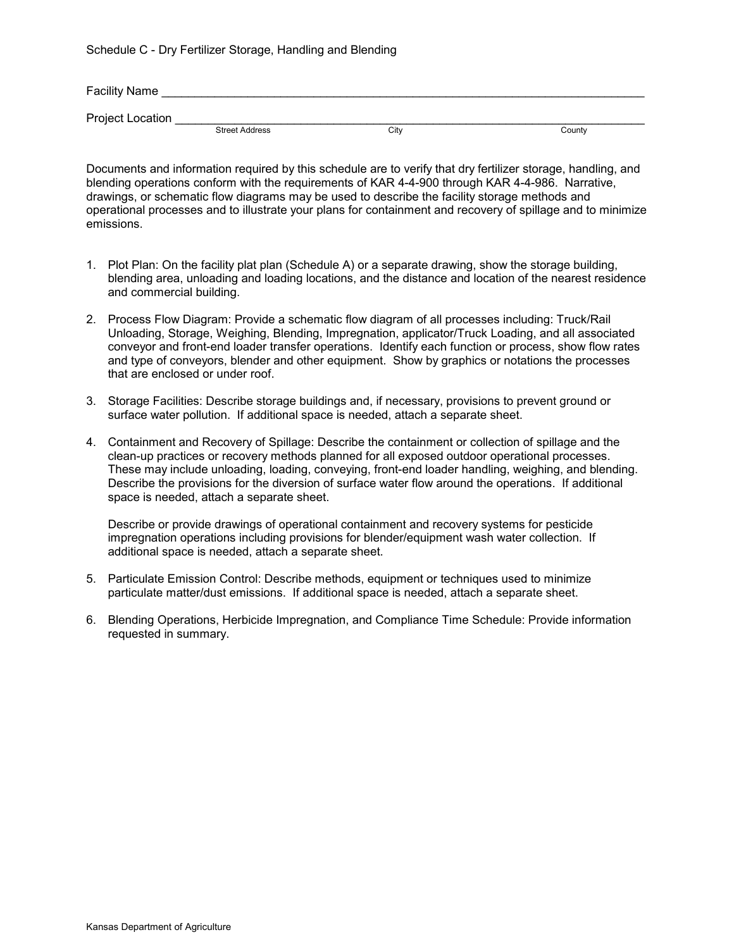Schedule C - Dry Fertilizer Storage, Handling and Blending

| <b>Facility Name</b> |                       |      |        |
|----------------------|-----------------------|------|--------|
|                      |                       |      |        |
| Project Location     |                       |      |        |
|                      | <b>Street Address</b> | City | County |

Documents and information required by this schedule are to verify that dry fertilizer storage, handling, and blending operations conform with the requirements of KAR 4-4-900 through KAR 4-4-986. Narrative, drawings, or schematic flow diagrams may be used to describe the facility storage methods and operational processes and to illustrate your plans for containment and recovery of spillage and to minimize emissions.

- 1. Plot Plan: On the facility plat plan (Schedule A) or a separate drawing, show the storage building, blending area, unloading and loading locations, and the distance and location of the nearest residence and commercial building.
- 2. Process Flow Diagram: Provide a schematic flow diagram of all processes including: Truck/Rail Unloading, Storage, Weighing, Blending, Impregnation, applicator/Truck Loading, and all associated conveyor and front-end loader transfer operations. Identify each function or process, show flow rates and type of conveyors, blender and other equipment. Show by graphics or notations the processes that are enclosed or under roof.
- 3. Storage Facilities: Describe storage buildings and, if necessary, provisions to prevent ground or surface water pollution. If additional space is needed, attach a separate sheet.
- 4. Containment and Recovery of Spillage: Describe the containment or collection of spillage and the clean-up practices or recovery methods planned for all exposed outdoor operational processes. These may include unloading, loading, conveying, front-end loader handling, weighing, and blending. Describe the provisions for the diversion of surface water flow around the operations. If additional space is needed, attach a separate sheet.

Describe or provide drawings of operational containment and recovery systems for pesticide impregnation operations including provisions for blender/equipment wash water collection. If additional space is needed, attach a separate sheet.

- 5. Particulate Emission Control: Describe methods, equipment or techniques used to minimize particulate matter/dust emissions. If additional space is needed, attach a separate sheet.
- 6. Blending Operations, Herbicide Impregnation, and Compliance Time Schedule: Provide information requested in summary.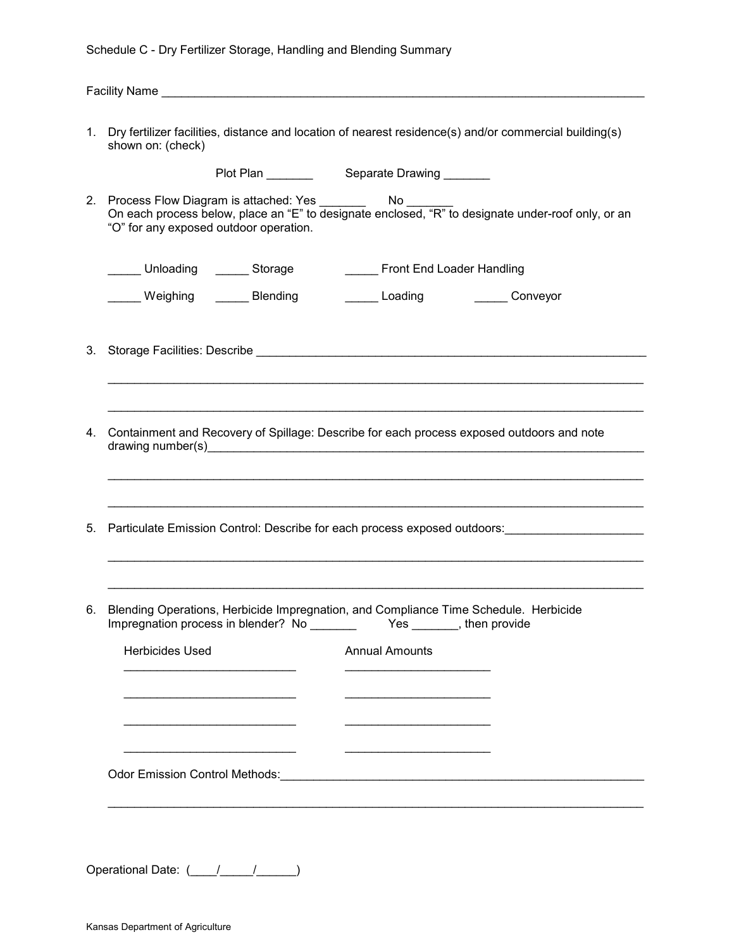Schedule C - Dry Fertilizer Storage, Handling and Blending Summary

Facility Name \_\_\_\_\_\_\_\_\_\_\_\_\_\_\_\_\_\_\_\_\_\_\_\_\_\_\_\_\_\_\_\_\_\_\_\_\_\_\_\_\_\_\_\_\_\_\_\_\_\_\_\_\_\_\_\_\_\_\_\_\_\_\_\_\_\_\_\_\_\_\_\_\_

| 1. Dry fertilizer facilities, distance and location of nearest residence(s) and/or commercial building(s) |  |
|-----------------------------------------------------------------------------------------------------------|--|
| shown on: (check)                                                                                         |  |

Plot Plan \_\_\_\_\_\_\_ Separate Drawing \_\_\_\_\_\_\_

| 2. Process Flow Diagram is attached: Yes<br>NΩ                                                     |
|----------------------------------------------------------------------------------------------------|
| On each process below, place an "E" to designate enclosed, "R" to designate under-roof only, or an |
| "O" for any exposed outdoor operation.                                                             |

| Unloading | Storage         | Front End Loader Handling |          |  |
|-----------|-----------------|---------------------------|----------|--|
| Weighing  | <b>Blending</b> | Loading                   | Conveyor |  |

3. Storage Facilities: Describe \_\_\_\_\_\_\_\_\_\_\_\_\_\_\_\_\_\_\_\_\_\_\_\_\_\_\_\_\_\_\_\_\_\_\_\_\_\_\_\_\_\_\_\_\_\_\_\_\_\_\_\_\_\_\_\_\_\_\_

\_\_\_\_\_\_\_\_\_\_\_\_\_\_\_\_\_\_\_\_\_\_\_\_\_\_\_\_\_\_\_\_\_\_\_\_\_\_\_\_\_\_\_\_\_\_\_\_\_\_\_\_\_\_\_\_\_\_\_\_\_\_\_\_\_\_\_\_\_\_\_\_\_\_\_\_\_\_\_\_\_

\_\_\_\_\_\_\_\_\_\_\_\_\_\_\_\_\_\_\_\_\_\_\_\_\_\_\_\_\_\_\_\_\_\_\_\_\_\_\_\_\_\_\_\_\_\_\_\_\_\_\_\_\_\_\_\_\_\_\_\_\_\_\_\_\_\_\_\_\_\_\_\_\_\_\_\_\_\_\_\_\_

\_\_\_\_\_\_\_\_\_\_\_\_\_\_\_\_\_\_\_\_\_\_\_\_\_\_\_\_\_\_\_\_\_\_\_\_\_\_\_\_\_\_\_\_\_\_\_\_\_\_\_\_\_\_\_\_\_\_\_\_\_\_\_\_\_\_\_\_\_\_\_\_\_\_\_\_\_\_\_\_\_

\_\_\_\_\_\_\_\_\_\_\_\_\_\_\_\_\_\_\_\_\_\_\_\_\_\_\_\_\_\_\_\_\_\_\_\_\_\_\_\_\_\_\_\_\_\_\_\_\_\_\_\_\_\_\_\_\_\_\_\_\_\_\_\_\_\_\_\_\_\_\_\_\_\_\_\_\_\_\_\_\_

\_\_\_\_\_\_\_\_\_\_\_\_\_\_\_\_\_\_\_\_\_\_\_\_\_\_\_\_\_\_\_\_\_\_\_\_\_\_\_\_\_\_\_\_\_\_\_\_\_\_\_\_\_\_\_\_\_\_\_\_\_\_\_\_\_\_\_\_\_\_\_\_\_\_\_\_\_\_\_\_\_

4. Containment and Recovery of Spillage: Describe for each process exposed outdoors and note drawing number(s)\_\_\_\_\_\_\_\_\_\_\_\_\_\_\_\_\_\_\_\_\_\_\_\_\_\_\_\_\_\_\_\_\_\_\_\_\_\_\_\_\_\_\_\_\_\_\_\_\_\_\_\_\_\_\_\_\_\_\_\_\_\_\_\_\_\_

\_\_\_\_\_\_\_\_\_\_\_\_\_\_\_\_\_\_\_\_\_\_\_\_\_\_\_\_\_\_\_\_\_\_\_\_\_\_\_\_\_\_\_\_\_\_\_\_\_\_\_\_\_\_\_\_\_\_\_\_\_\_\_\_\_\_\_\_\_\_\_\_\_\_\_\_\_\_\_\_\_

- 5. Particulate Emission Control: Describe for each process exposed outdoors:
- 6. Blending Operations, Herbicide Impregnation, and Compliance Time Schedule. Herbicide Impregnation process in blender? No \_\_\_\_\_\_\_ Yes \_\_\_\_\_\_\_, then provide

| <b>Herbicides Used</b>                | <b>Annual Amounts</b> |  |
|---------------------------------------|-----------------------|--|
|                                       |                       |  |
|                                       |                       |  |
|                                       |                       |  |
| <b>Odor Emission Control Methods:</b> |                       |  |
|                                       |                       |  |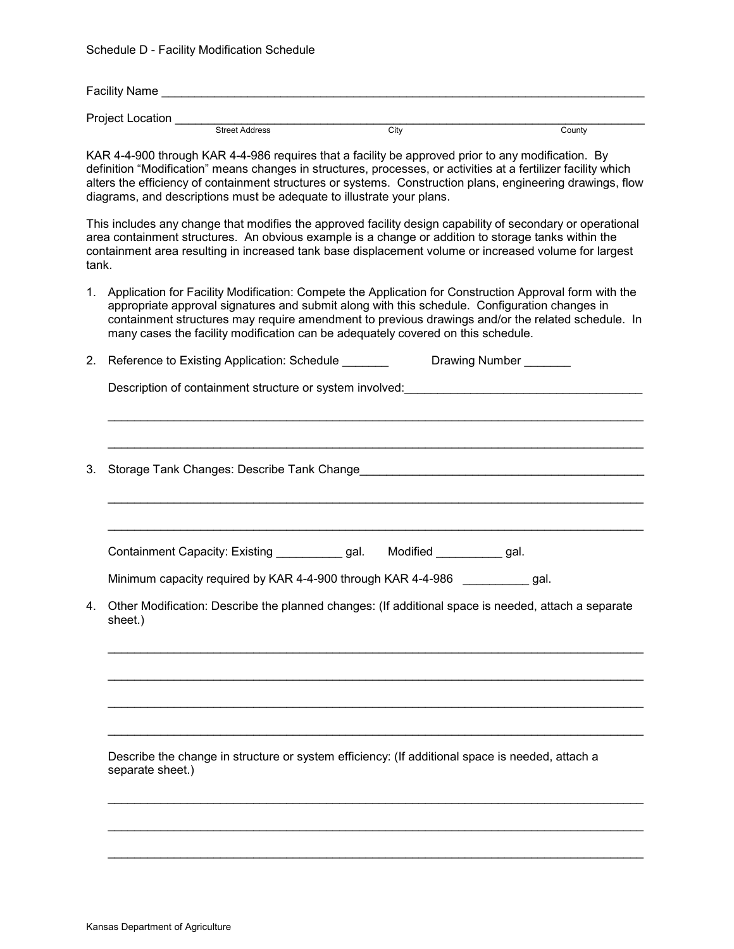## Schedule D - Facility Modification Schedule

| <b>Facility Name</b> |                       |      |        |
|----------------------|-----------------------|------|--------|
| Project Location     |                       |      |        |
|                      | <b>Street Address</b> | City | County |

KAR 4-4-900 through KAR 4-4-986 requires that a facility be approved prior to any modification. By definition "Modification" means changes in structures, processes, or activities at a fertilizer facility which alters the efficiency of containment structures or systems. Construction plans, engineering drawings, flow diagrams, and descriptions must be adequate to illustrate your plans.

This includes any change that modifies the approved facility design capability of secondary or operational area containment structures. An obvious example is a change or addition to storage tanks within the containment area resulting in increased tank base displacement volume or increased volume for largest tank.

1. Application for Facility Modification: Compete the Application for Construction Approval form with the appropriate approval signatures and submit along with this schedule. Configuration changes in containment structures may require amendment to previous drawings and/or the related schedule. In many cases the facility modification can be adequately covered on this schedule.

| 2.             | Reference to Existing Application: Schedule ______<br>Drawing Number _______                                                                                                                                                       |  |  |  |  |
|----------------|------------------------------------------------------------------------------------------------------------------------------------------------------------------------------------------------------------------------------------|--|--|--|--|
|                | Description of containment structure or system involved:<br>Letting and the containment structure or system involved:<br>Letting and the containment of containing and the container of the container and the containing of the co |  |  |  |  |
|                |                                                                                                                                                                                                                                    |  |  |  |  |
|                |                                                                                                                                                                                                                                    |  |  |  |  |
| 3.             |                                                                                                                                                                                                                                    |  |  |  |  |
|                |                                                                                                                                                                                                                                    |  |  |  |  |
|                | Containment Capacity: Existing ____________ gal. Modified __________ gal.                                                                                                                                                          |  |  |  |  |
|                | Minimum capacity required by KAR 4-4-900 through KAR 4-4-986 ____________ gal.                                                                                                                                                     |  |  |  |  |
| 4 <sub>1</sub> | Other Modification: Describe the planned changes: (If additional space is needed, attach a separate<br>sheet.)                                                                                                                     |  |  |  |  |
|                |                                                                                                                                                                                                                                    |  |  |  |  |
|                |                                                                                                                                                                                                                                    |  |  |  |  |
|                |                                                                                                                                                                                                                                    |  |  |  |  |
|                | Describe the change in structure or system efficiency: (If additional space is needed, attach a<br>separate sheet.)                                                                                                                |  |  |  |  |
|                |                                                                                                                                                                                                                                    |  |  |  |  |
|                |                                                                                                                                                                                                                                    |  |  |  |  |
|                |                                                                                                                                                                                                                                    |  |  |  |  |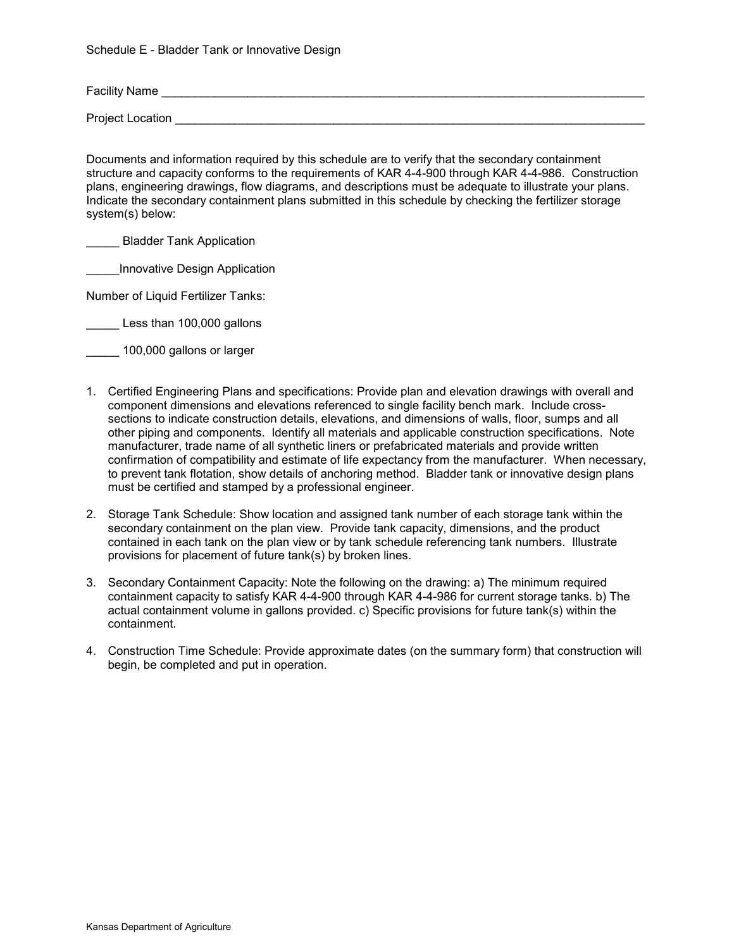Schedule E - Bladder Tank or Innovative Design

Facility Name \_\_\_\_\_\_\_\_\_\_\_\_\_\_\_\_\_\_\_\_\_\_\_\_\_\_\_\_\_\_\_\_\_\_\_\_\_\_\_\_\_\_\_\_\_\_\_\_\_\_\_\_\_\_\_\_\_\_\_\_\_\_\_\_\_\_\_\_\_\_\_\_\_

Project Location \_\_\_\_\_\_\_\_\_\_\_\_\_\_\_\_\_\_\_\_\_\_\_\_\_\_\_\_\_\_\_\_\_\_\_\_\_\_\_\_\_\_\_\_\_\_\_\_\_\_\_\_\_\_\_\_\_\_\_\_\_\_\_\_\_\_\_\_\_\_\_

Documents and information required by this schedule are to verify that the secondary containment structure and capacity conforms to the requirements of KAR 4-4-900 through KAR 4-4-986. Construction plans, engineering drawings, flow diagrams, and descriptions must be adequate to illustrate your plans. Indicate the secondary containment plans submitted in this schedule by checking the fertilizer storage system(s) below:

**Example 3 Bladder Tank Application** 

\_\_\_\_\_Innovative Design Application

Number of Liquid Fertilizer Tanks:

Less than 100,000 gallons

100,000 gallons or larger

- 1. Certified Engineering Plans and specifications: Provide plan and elevation drawings with overall and component dimensions and elevations referenced to single facility bench mark. Include crosssections to indicate construction details, elevations, and dimensions of walls, floor, sumps and all other piping and components. Identify all materials and applicable construction specifications. Note manufacturer, trade name of all synthetic liners or prefabricated materials and provide written confirmation of compatibility and estimate of life expectancy from the manufacturer. When necessary, to prevent tank flotation, show details of anchoring method. Bladder tank or innovative design plans must be certified and stamped by a professional engineer.
- 2. Storage Tank Schedule: Show location and assigned tank number of each storage tank within the secondary containment on the plan view. Provide tank capacity, dimensions, and the product contained in each tank on the plan view or by tank schedule referencing tank numbers. Illustrate provisions for placement of future tank(s) by broken lines.
- 3. Secondary Containment Capacity: Note the following on the drawing: a) The minimum required containment capacity to satisfy KAR 4-4-900 through KAR 4-4-986 for current storage tanks. b) The actual containment volume in gallons provided. c) Specific provisions for future tank(s) within the containment.
- 4. Construction Time Schedule: Provide approximate dates (on the summary form) that construction will begin, be completed and put in operation.